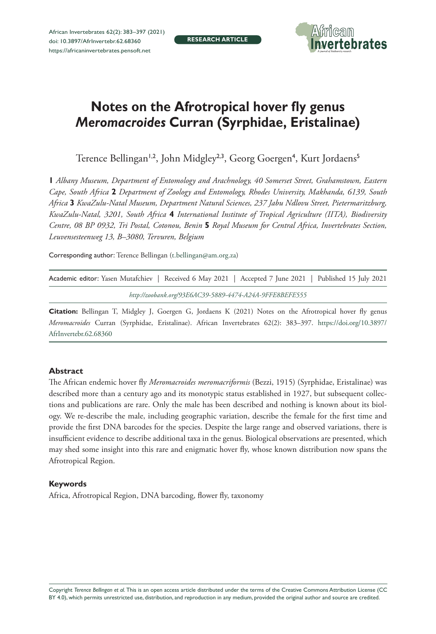African Invertebrates 62(2): 383–397 (2021) doi: 10.3897/AfrInvertebr.62.68360 <https://africaninvertebrates.pensoft.net>

**RESEARCH ARTICLE**



# **Notes on the Afrotropical hover fly genus**  *Meromacroides* **Curran (Syrphidae, Eristalinae)**

Terence Bellingan<sup>1,2</sup>, John Midgley<sup>2,3</sup>, Georg Goergen<sup>4</sup>, Kurt Jordaens<sup>5</sup>

**1** *Albany Museum, Department of Entomology and Arachnology, 40 Somerset Street, Grahamstown, Eastern Cape, South Africa* **2** *Department of Zoology and Entomology, Rhodes University, Makhanda, 6139, South Africa* **3** *KwaZulu-Natal Museum, Department Natural Sciences, 237 Jabu Ndlovu Street, Pietermaritzburg, KwaZulu-Natal, 3201, South Africa* **4** *International Institute of Tropical Agriculture (IITA), Biodiversity Centre, 08 BP 0932, Tri Postal, Cotonou, Benin* **5** *Royal Museum for Central Africa, Invertebrates Section, Leuvensesteenweg 13, B–3080, Tervuren, Belgium*

Corresponding author: Terence Bellingan ([t.bellingan@am.org.za](mailto:t.bellingan@am.org.za))

| Academic editor: Yasen Mutafchiev   Received 6 May 2021   Accepted 7 June 2021   Published 15 July 2021 |  |
|---------------------------------------------------------------------------------------------------------|--|
| http://zoobank.org/93E6AC39-5889-4474-A24A-9FFE8BEFE555                                                 |  |

**Citation:** Bellingan T, Midgley J, Goergen G, Jordaens K (2021) Notes on the Afrotropical hover fly genus *Meromacroides* Curran (Syrphidae, Eristalinae). African Invertebrates 62(2): 383–397. [https://doi.org/10.3897/](https://doi.org/10.3897/AfrInvertebr.62.68360) [AfrInvertebr.62.68360](https://doi.org/10.3897/AfrInvertebr.62.68360)

#### **Abstract**

The African endemic hover fly *Meromacroides meromacriformis* (Bezzi, 1915) (Syrphidae, Eristalinae) was described more than a century ago and its monotypic status established in 1927, but subsequent collections and publications are rare. Only the male has been described and nothing is known about its biology. We re-describe the male, including geographic variation, describe the female for the first time and provide the first DNA barcodes for the species. Despite the large range and observed variations, there is insufficient evidence to describe additional taxa in the genus. Biological observations are presented, which may shed some insight into this rare and enigmatic hover fly, whose known distribution now spans the Afrotropical Region.

#### **Keywords**

Africa, Afrotropical Region, DNA barcoding, flower fly, taxonomy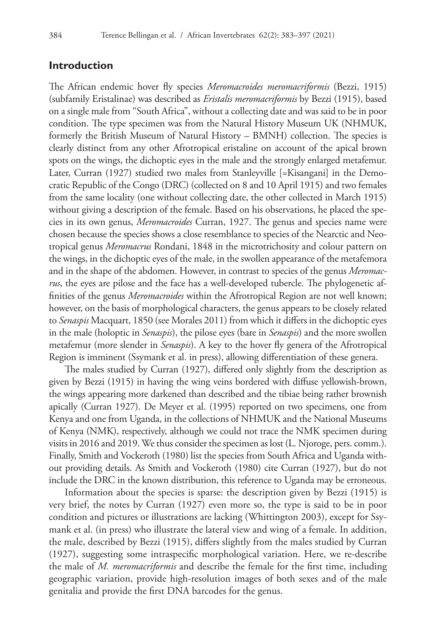# **Introduction**

The African endemic hover fly species *Meromacroides meromacriformis* (Bezzi, 1915) (subfamily Eristalinae) was described as *Eristalis meromacriformis* by Bezzi (1915), based on a single male from "South Africa", without a collecting date and was said to be in poor condition. The type specimen was from the Natural History Museum UK (NHMUK, formerly the British Museum of Natural History – BMNH) collection. The species is clearly distinct from any other Afrotropical eristaline on account of the apical brown spots on the wings, the dichoptic eyes in the male and the strongly enlarged metafemur. Later, Curran (1927) studied two males from Stanleyville [=Kisangani] in the Democratic Republic of the Congo (DRC) (collected on 8 and 10 April 1915) and two females from the same locality (one without collecting date, the other collected in March 1915) without giving a description of the female. Based on his observations, he placed the species in its own genus, *Meromacroides* Curran, 1927. The genus and species name were chosen because the species shows a close resemblance to species of the Nearctic and Neotropical genus *Meromacrus* Rondani, 1848 in the microtrichosity and colour pattern on the wings, in the dichoptic eyes of the male, in the swollen appearance of the metafemora and in the shape of the abdomen. However, in contrast to species of the genus *Meromacrus*, the eyes are pilose and the face has a well-developed tubercle. The phylogenetic affinities of the genus *Meromacroides* within the Afrotropical Region are not well known; however, on the basis of morphological characters, the genus appears to be closely related to *Senaspis* Macquart, 1850 (see Morales 2011) from which it differs in the dichoptic eyes in the male (holoptic in *Senaspis*), the pilose eyes (bare in *Senaspis*) and the more swollen metafemur (more slender in *Senaspis*). A key to the hover fly genera of the Afrotropical Region is imminent (Ssymank et al. in press), allowing differentiation of these genera.

The males studied by Curran (1927), differed only slightly from the description as given by Bezzi (1915) in having the wing veins bordered with diffuse yellowish-brown, the wings appearing more darkened than described and the tibiae being rather brownish apically (Curran 1927). De Meyer et al. (1995) reported on two specimens, one from Kenya and one from Uganda, in the collections of NHMUK and the National Museums of Kenya (NMK), respectively, although we could not trace the NMK specimen during visits in 2016 and 2019. We thus consider the specimen as lost (L. Njoroge, pers. comm.). Finally, Smith and Vockeroth (1980) list the species from South Africa and Uganda without providing details. As Smith and Vockeroth (1980) cite Curran (1927), but do not include the DRC in the known distribution, this reference to Uganda may be erroneous.

Information about the species is sparse: the description given by Bezzi (1915) is very brief, the notes by Curran (1927) even more so, the type is said to be in poor condition and pictures or illustrations are lacking (Whittington 2003), except for Ssymank et al. (in press) who illustrate the lateral view and wing of a female. In addition, the male, described by Bezzi (1915), differs slightly from the males studied by Curran (1927), suggesting some intraspecific morphological variation. Here, we re-describe the male of *M. meromacriformis* and describe the female for the first time, including geographic variation, provide high-resolution images of both sexes and of the male genitalia and provide the first DNA barcodes for the genus.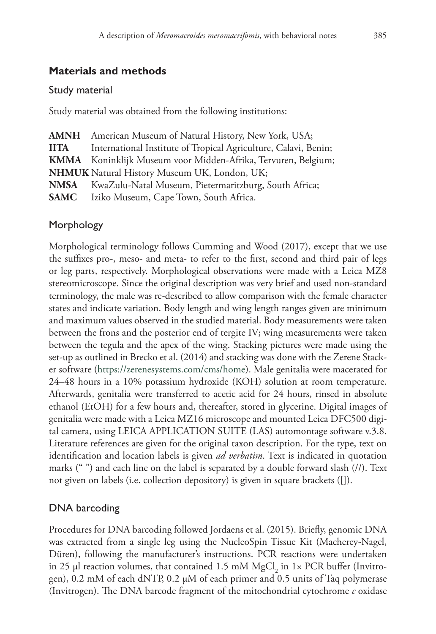# **Materials and methods**

### Study material

Study material was obtained from the following institutions:

|             | <b>AMNH</b> American Museum of Natural History, New York, USA;    |
|-------------|-------------------------------------------------------------------|
| <b>IITA</b> | International Institute of Tropical Agriculture, Calavi, Benin;   |
|             | KMMA Koninklijk Museum voor Midden-Afrika, Tervuren, Belgium;     |
|             | <b>NHMUK</b> Natural History Museum UK, London, UK;               |
|             | <b>NMSA</b> KwaZulu-Natal Museum, Pietermaritzburg, South Africa; |
|             | <b>SAMC</b> Iziko Museum, Cape Town, South Africa.                |

# Morphology

Morphological terminology follows Cumming and Wood (2017), except that we use the suffixes pro-, meso- and meta- to refer to the first, second and third pair of legs or leg parts, respectively. Morphological observations were made with a Leica MZ8 stereomicroscope. Since the original description was very brief and used non-standard terminology, the male was re-described to allow comparison with the female character states and indicate variation. Body length and wing length ranges given are minimum and maximum values observed in the studied material. Body measurements were taken between the frons and the posterior end of tergite IV; wing measurements were taken between the tegula and the apex of the wing. Stacking pictures were made using the set-up as outlined in Brecko et al. (2014) and stacking was done with the Zerene Stacker software (<https://zerenesystems.com/cms/home>). Male genitalia were macerated for 24–48 hours in a 10% potassium hydroxide (KOH) solution at room temperature. Afterwards, genitalia were transferred to acetic acid for 24 hours, rinsed in absolute ethanol (EtOH) for a few hours and, thereafter, stored in glycerine. Digital images of genitalia were made with a Leica MZ16 microscope and mounted Leica DFC500 digital camera, using LEICA APPLICATION SUITE (LAS) automontage software v.3.8. Literature references are given for the original taxon description. For the type, text on identification and location labels is given *ad verbatim*. Text is indicated in quotation marks (" ") and each line on the label is separated by a double forward slash (//). Text not given on labels (i.e. collection depository) is given in square brackets ([]).

# DNA barcoding

Procedures for DNA barcoding followed Jordaens et al. (2015). Briefly, genomic DNA was extracted from a single leg using the NucleoSpin Tissue Kit (Macherey-Nagel, Düren), following the manufacturer's instructions. PCR reactions were undertaken in 25  $\mu$ l reaction volumes, that contained 1.5 mM MgCl<sub>2</sub> in 1× PCR buffer (Invitrogen), 0.2 mM of each dNTP, 0.2 µM of each primer and 0.5 units of Taq polymerase (Invitrogen). The DNA barcode fragment of the mitochondrial cytochrome *c* oxidase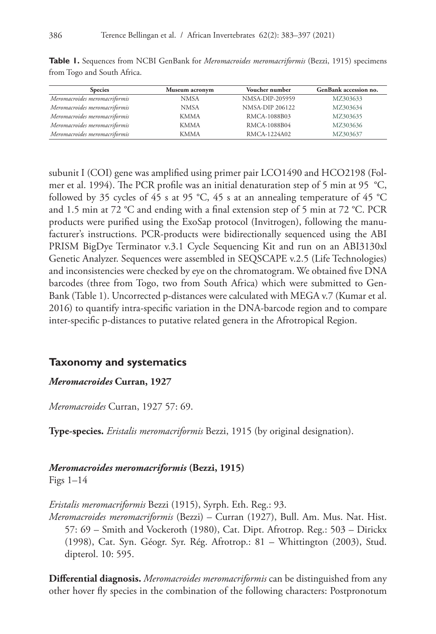| <b>Species</b>                | Museum acronym | Voucher number         | <b>GenBank</b> accession no. |
|-------------------------------|----------------|------------------------|------------------------------|
| Meromacroides meromacriformis | <b>NMSA</b>    | NMSA-DIP-205959        | MZ303633                     |
| Meromacroides meromacriformis | <b>NMSA</b>    | <b>NMSA-DIP 206122</b> | MZ303634                     |
| Meromacroides meromacriformis | <b>KMMA</b>    | RMCA-1088B03           | MZ303635                     |
| Meromacroides meromacriformis | <b>KMMA</b>    | RMCA-1088B04           | MZ303636                     |
| Meromacroides meromacriformis | <b>KMMA</b>    | RMCA-1224A02           | MZ303637                     |

**Table 1.** Sequences from NCBI GenBank for *Meromacroides meromacriformis* (Bezzi, 1915) specimens from Togo and South Africa.

subunit I (COI) gene was amplified using primer pair LCO1490 and HCO2198 (Folmer et al. 1994). The PCR profile was an initial denaturation step of 5 min at 95 °C, followed by 35 cycles of 45 s at 95 °C, 45 s at an annealing temperature of 45 °C and 1.5 min at 72 °C and ending with a final extension step of 5 min at 72 °C. PCR products were purified using the ExoSap protocol (Invitrogen), following the manufacturer's instructions. PCR-products were bidirectionally sequenced using the ABI PRISM BigDye Terminator v.3.1 Cycle Sequencing Kit and run on an ABI3130xl Genetic Analyzer. Sequences were assembled in SEQSCAPE v.2.5 (Life Technologies) and inconsistencies were checked by eye on the chromatogram. We obtained five DNA barcodes (three from Togo, two from South Africa) which were submitted to Gen-Bank (Table 1). Uncorrected p-distances were calculated with MEGA v.7 (Kumar et al. 2016) to quantify intra-specific variation in the DNA-barcode region and to compare inter-specific p-distances to putative related genera in the Afrotropical Region.

### **Taxonomy and systematics**

### *Meromacroides* **Curran, 1927**

*Meromacroides* Curran, 1927 57: 69.

**Type-species.** *Eristalis meromacriformis* Bezzi, 1915 (by original designation).

#### *Meromacroides meromacriformis* **(Bezzi, 1915)**

Figs  $1-14$ 

*Eristalis meromacriformis* Bezzi (1915), Syrph. Eth. Reg.: 93.

*Meromacroides meromacriformis* (Bezzi) – Curran (1927), Bull. Am. Mus. Nat. Hist. 57: 69 – Smith and Vockeroth (1980), Cat. Dipt. Afrotrop. Reg.: 503 – Dirickx (1998), Cat. Syn. Géogr. Syr. Rég. Afrotrop.: 81 – Whittington (2003), Stud. dipterol. 10: 595.

**Differential diagnosis.** *Meromacroides meromacriformis* can be distinguished from any other hover fly species in the combination of the following characters: Postpronotum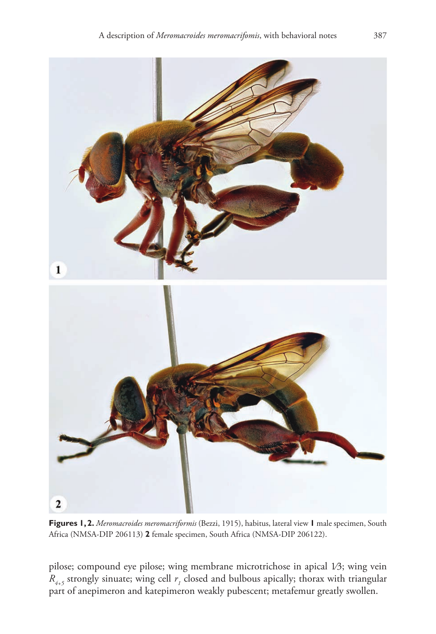

**Figures 1, 2.** *Meromacroides meromacriformis* (Bezzi, 1915), habitus, lateral view **1** male specimen, South Africa (NMSA-DIP 206113) **2** female specimen, South Africa (NMSA-DIP 206122).

pilose; compound eye pilose; wing membrane microtrichose in apical 1∕3; wing vein  $R_{\scriptscriptstyle 4+5}$  strongly sinuate; wing cell  $r_{\scriptscriptstyle I}$  closed and bulbous apically; thorax with triangular part of anepimeron and katepimeron weakly pubescent; metafemur greatly swollen.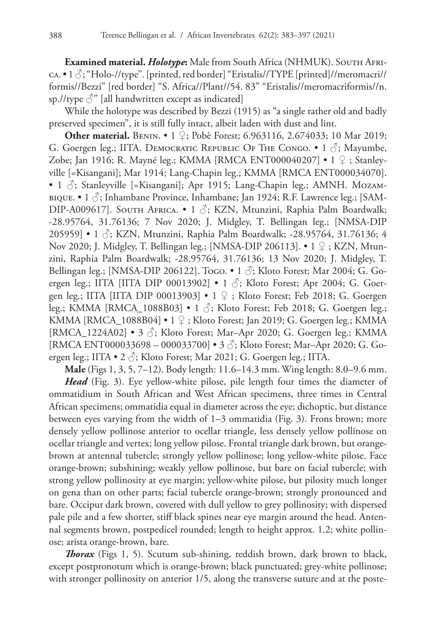**Examined material.** *Holotype***:** Male from South Africa (NHMUK). South Afri $c_A \cdot 1 \hat{\diamond}$ ; "Holo-//type". [printed, red border] "Eristalis//TYPE [printed]//meromacri// formis//Bezzi" [red border] "S. Africa//Plant//54. 83" "Eristalis//meromacriformis//n. sp.//type  $\mathcal{S}^{\prime\prime}$  [all handwritten except as indicated]

While the holotype was described by Bezzi (1915) as "a single rather old and badly preserved specimen", it is still fully intact, albeit laden with dust and lint.

**Other material.** BENIN. • 1 ♀; Pobè Forest; 6.963116, 2.674033; 10 Mar 2019; G. Goergen leg.; IITA. DEMOCRATIC REPUBLIC OF THE CONGO.  $\bullet$  1  $\circled{3}$ ; Mayumbe, Zobe; Jan 1916; R. Mayné leg.; KMMA [RMCA ENT000040207] • 1 ♀ ; Stanleyville [=Kisangani]; Mar 1914; Lang-Chapin leg.; KMMA [RMCA ENT000034070]. • 1  $\Diamond$ ; Stanleyville [=Kisangani]; Apr 1915; Lang-Chapin leg.; AMNH. MOZAM-BIQUE. • 1  $\circ$ ; Inhambane Province, Inhambane; Jan 1924; R.F. Lawrence leg.; [SAM-DIP-A009617]. South Africa. • 1 3; KZN, Mtunzini, Raphia Palm Boardwalk; -28.95764, 31.76136; 7 Nov 2020; J. Midgley, T. Bellingan leg.; [NMSA-DIP 205959] • 1  $\circ$ ; KZN, Mtunzini, Raphia Palm Boardwalk; -28.95764, 31.76136; 4 Nov 2020; J. Midgley, T. Bellingan leg.; [NMSA-DIP 206113]. • 1 ♀ ; KZN, Mtunzini, Raphia Palm Boardwalk; -28.95764, 31.76136; 13 Nov 2020; J. Midgley, T. Bellingan leg.; [NMSA-DIP 206122]. Togo.  $\bullet$  1  $\circ$ ; Kloto Forest; Mar 2004; G. Goergen leg.; IITA [IITA DIP 00013902] • 1 ♂; Kloto Forest; Apr 2004; G. Goergen leg.; IITA [IITA DIP 00013903] • 1 ♀ ; Kloto Forest; Feb 2018; G. Goergen leg.; KMMA [RMCA\_1088B03] • 1  $\Im$ ; Kloto Forest; Feb 2018; G. Goergen leg.; KMMA [RMCA\_1088B04] • 1 ♀ ; Kloto Forest; Jan 2019; G. Goergen leg.; KMMA [RMCA\_1224A02] • 3  $\Im$ ; Kloto Forest; Mar-Apr 2020; G. Goergen leg.; KMMA [RMCA ENT000033698 – 000033700] • 3 ♂; Kloto Forest; Mar–Apr 2020; G. Goergen leg.; IITA  $\bullet$  2  $\circ$ ; Kloto Forest; Mar 2021; G. Goergen leg.; IITA.

**Male** (Figs 1, 3, 5, 7–12). Body length: 11.6–14.3 mm. Wing length: 8.0–9.6 mm.

*Head* (Fig. 3). Eye yellow-white pilose, pile length four times the diameter of ommatidium in South African and West African specimens, three times in Central African specimens; ommatidia equal in diameter across the eye; dichoptic, but distance between eyes varying from the width of 1–3 ommatidia (Fig. 3). Frons brown; more densely yellow pollinose anterior to ocellar triangle, less densely yellow pollinose on ocellar triangle and vertex; long yellow pilose. Frontal triangle dark brown, but orangebrown at antennal tubercle; strongly yellow pollinose; long yellow-white pilose. Face orange-brown; subshining; weakly yellow pollinose, but bare on facial tubercle; with strong yellow pollinosity at eye margin; yellow-white pilose, but pilosity much longer on gena than on other parts; facial tubercle orange-brown; strongly pronounced and bare. Occiput dark brown, covered with dull yellow to grey pollinosity; with dispersed pale pile and a few shorter, stiff black spines near eye margin around the head. Antennal segments brown, postpedicel rounded; length to height approx. 1.2; white pollinose; arista orange-brown, bare.

*Thorax* (Figs 1, 5). Scutum sub-shining, reddish brown, dark brown to black, except postpronotum which is orange-brown; black punctuated; grey-white pollinose; with stronger pollinosity on anterior 1/5, along the transverse suture and at the poste-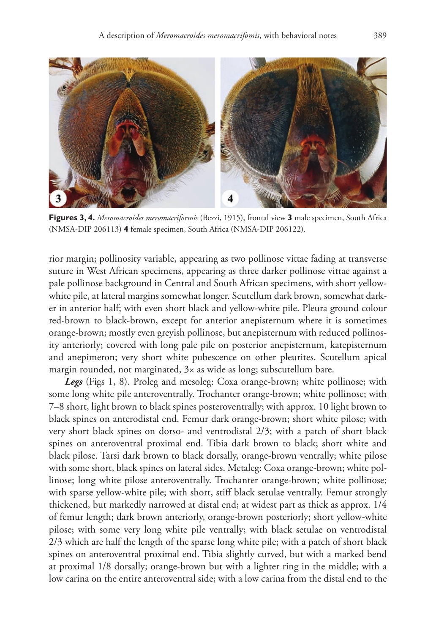

**Figures 3, 4.** *Meromacroides meromacriformis* (Bezzi, 1915), frontal view **3** male specimen, South Africa (NMSA-DIP 206113) **4** female specimen, South Africa (NMSA-DIP 206122).

rior margin; pollinosity variable, appearing as two pollinose vittae fading at transverse suture in West African specimens, appearing as three darker pollinose vittae against a pale pollinose background in Central and South African specimens, with short yellowwhite pile, at lateral margins somewhat longer. Scutellum dark brown, somewhat darker in anterior half; with even short black and yellow-white pile. Pleura ground colour red-brown to black-brown, except for anterior anepisternum where it is sometimes orange-brown; mostly even greyish pollinose, but anepisternum with reduced pollinosity anteriorly; covered with long pale pile on posterior anepisternum, katepisternum and anepimeron; very short white pubescence on other pleurites. Scutellum apical margin rounded, not marginated, 3× as wide as long; subscutellum bare.

*Legs* (Figs 1, 8). Proleg and mesoleg: Coxa orange-brown; white pollinose; with some long white pile anteroventrally. Trochanter orange-brown; white pollinose; with 7–8 short, light brown to black spines posteroventrally; with approx. 10 light brown to black spines on anterodistal end. Femur dark orange-brown; short white pilose; with very short black spines on dorso- and ventrodistal 2/3; with a patch of short black spines on anteroventral proximal end. Tibia dark brown to black; short white and black pilose. Tarsi dark brown to black dorsally, orange-brown ventrally; white pilose with some short, black spines on lateral sides. Metaleg: Coxa orange-brown; white pollinose; long white pilose anteroventrally. Trochanter orange-brown; white pollinose; with sparse yellow-white pile; with short, stiff black setulae ventrally. Femur strongly thickened, but markedly narrowed at distal end; at widest part as thick as approx. 1/4 of femur length; dark brown anteriorly, orange-brown posteriorly; short yellow-white pilose; with some very long white pile ventrally; with black setulae on ventrodistal 2/3 which are half the length of the sparse long white pile; with a patch of short black spines on anteroventral proximal end. Tibia slightly curved, but with a marked bend at proximal 1/8 dorsally; orange-brown but with a lighter ring in the middle; with a low carina on the entire anteroventral side; with a low carina from the distal end to the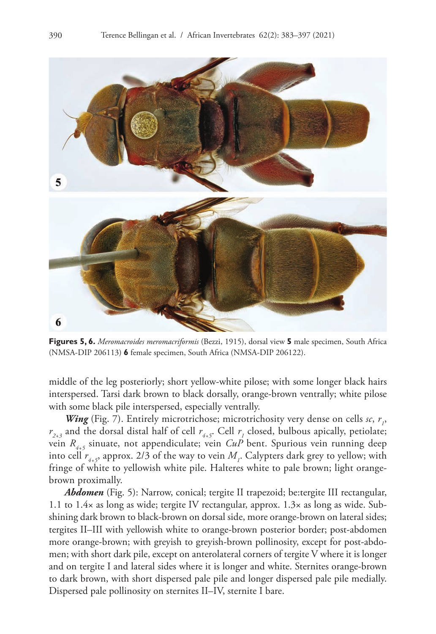

**Figures 5, 6.** *Meromacroides meromacriformis* (Bezzi, 1915), dorsal view **5** male specimen, South Africa (NMSA-DIP 206113) **6** female specimen, South Africa (NMSA-DIP 206122).

middle of the leg posteriorly; short yellow-white pilose; with some longer black hairs interspersed. Tarsi dark brown to black dorsally, orange-brown ventrally; white pilose with some black pile interspersed, especially ventrally.

*Wing* (Fig. 7). Entirely microtrichose; microtrichosity very dense on cells *sc*,  $r<sub>i</sub>$ ,  $r_{2+3}$  and the dorsal distal half of cell  $r_{4+5}$ . Cell  $r_1$  closed, bulbous apically, petiolate; vein  $R_{4+5}$  sinuate, not appendiculate; vein  $CuP$  bent. Spurious vein running deep into cell  $r_{\scriptscriptstyle 4+5}^{}$ , approx. 2/3 of the way to vein  $M_{\scriptscriptstyle 1}$ . Calypters dark grey to yellow; with fringe of white to yellowish white pile. Halteres white to pale brown; light orangebrown proximally.

*Abdomen* (Fig. 5): Narrow, conical; tergite II trapezoid; be:tergite III rectangular, 1.1 to 1.4× as long as wide; tergite IV rectangular, approx. 1.3× as long as wide. Subshining dark brown to black-brown on dorsal side, more orange-brown on lateral sides; tergites II–III with yellowish white to orange-brown posterior border; post-abdomen more orange-brown; with greyish to greyish-brown pollinosity, except for post-abdomen; with short dark pile, except on anterolateral corners of tergite V where it is longer and on tergite I and lateral sides where it is longer and white. Sternites orange-brown to dark brown, with short dispersed pale pile and longer dispersed pale pile medially. Dispersed pale pollinosity on sternites II–IV, sternite I bare.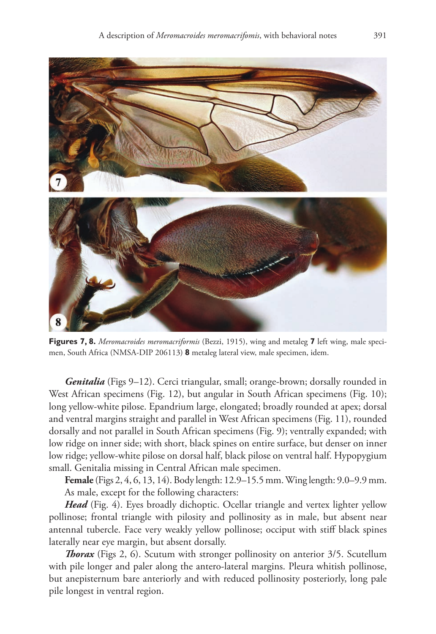

**Figures 7, 8.** *Meromacroides meromacriformis* (Bezzi, 1915), wing and metaleg **7** left wing, male specimen, South Africa (NMSA-DIP 206113) **8** metaleg lateral view, male specimen, idem.

*Genitalia* (Figs 9–12). Cerci triangular, small; orange-brown; dorsally rounded in West African specimens (Fig. 12), but angular in South African specimens (Fig. 10); long yellow-white pilose. Epandrium large, elongated; broadly rounded at apex; dorsal and ventral margins straight and parallel in West African specimens (Fig. 11), rounded dorsally and not parallel in South African specimens (Fig. 9); ventrally expanded; with low ridge on inner side; with short, black spines on entire surface, but denser on inner low ridge; yellow-white pilose on dorsal half, black pilose on ventral half. Hypopygium small. Genitalia missing in Central African male specimen.

**Female** (Figs 2, 4, 6, 13, 14). Body length: 12.9–15.5 mm. Wing length: 9.0–9.9 mm. As male, except for the following characters:

*Head* (Fig. 4). Eyes broadly dichoptic. Ocellar triangle and vertex lighter yellow pollinose; frontal triangle with pilosity and pollinosity as in male, but absent near antennal tubercle. Face very weakly yellow pollinose; occiput with stiff black spines laterally near eye margin, but absent dorsally.

*Thorax* (Figs 2, 6). Scutum with stronger pollinosity on anterior 3/5. Scutellum with pile longer and paler along the antero-lateral margins. Pleura whitish pollinose, but anepisternum bare anteriorly and with reduced pollinosity posteriorly, long pale pile longest in ventral region.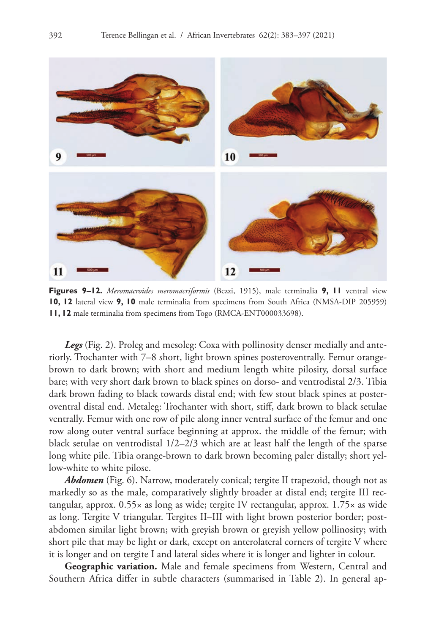

**Figures 9–12.** *Meromacroides meromacriformis* (Bezzi, 1915), male terminalia **9, 11** ventral view **10, 12** lateral view **9, 10** male terminalia from specimens from South Africa (NMSA-DIP 205959) **11, 12** male terminalia from specimens from Togo (RMCA-ENT000033698).

*Legs* (Fig. 2). Proleg and mesoleg: Coxa with pollinosity denser medially and anteriorly. Trochanter with 7–8 short, light brown spines posteroventrally. Femur orangebrown to dark brown; with short and medium length white pilosity, dorsal surface bare; with very short dark brown to black spines on dorso- and ventrodistal 2/3. Tibia dark brown fading to black towards distal end; with few stout black spines at posteroventral distal end. Metaleg: Trochanter with short, stiff, dark brown to black setulae ventrally. Femur with one row of pile along inner ventral surface of the femur and one row along outer ventral surface beginning at approx. the middle of the femur; with black setulae on ventrodistal 1/2–2/3 which are at least half the length of the sparse long white pile. Tibia orange-brown to dark brown becoming paler distally; short yellow-white to white pilose.

*Abdomen* (Fig. 6). Narrow, moderately conical; tergite II trapezoid, though not as markedly so as the male, comparatively slightly broader at distal end; tergite III rectangular, approx. 0.55× as long as wide; tergite IV rectangular, approx. 1.75× as wide as long. Tergite V triangular. Tergites II–III with light brown posterior border; postabdomen similar light brown; with greyish brown or greyish yellow pollinosity; with short pile that may be light or dark, except on anterolateral corners of tergite V where it is longer and on tergite I and lateral sides where it is longer and lighter in colour.

**Geographic variation.** Male and female specimens from Western, Central and Southern Africa differ in subtle characters (summarised in Table 2). In general ap-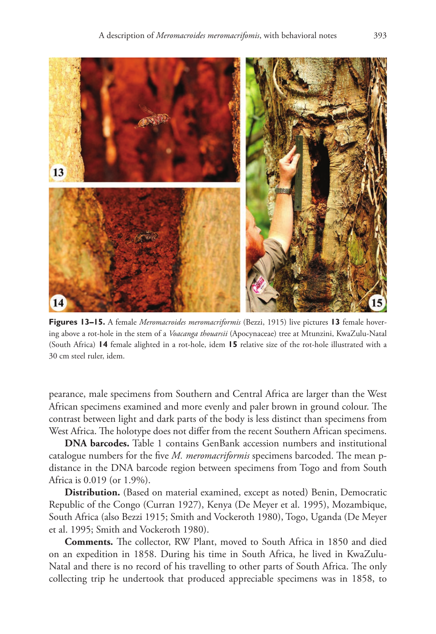

**Figures 13–15.** A female *Meromacroides meromacriformis* (Bezzi, 1915) live pictures **13** female hovering above a rot-hole in the stem of a *Voacanga thouarsii* (Apocynaceae) tree at Mtunzini, KwaZulu-Natal (South Africa) **14** female alighted in a rot-hole, idem **15** relative size of the rot-hole illustrated with a 30 cm steel ruler, idem.

pearance, male specimens from Southern and Central Africa are larger than the West African specimens examined and more evenly and paler brown in ground colour. The contrast between light and dark parts of the body is less distinct than specimens from West Africa. The holotype does not differ from the recent Southern African specimens.

**DNA barcodes.** Table 1 contains GenBank accession numbers and institutional catalogue numbers for the five *M. meromacriformis* specimens barcoded. The mean pdistance in the DNA barcode region between specimens from Togo and from South Africa is 0.019 (or 1.9%).

**Distribution.** (Based on material examined, except as noted) Benin, Democratic Republic of the Congo (Curran 1927), Kenya (De Meyer et al. 1995), Mozambique, South Africa (also Bezzi 1915; Smith and Vockeroth 1980), Togo, Uganda (De Meyer et al. 1995; Smith and Vockeroth 1980).

**Comments.** The collector, RW Plant, moved to South Africa in 1850 and died on an expedition in 1858. During his time in South Africa, he lived in KwaZulu-Natal and there is no record of his travelling to other parts of South Africa. The only collecting trip he undertook that produced appreciable specimens was in 1858, to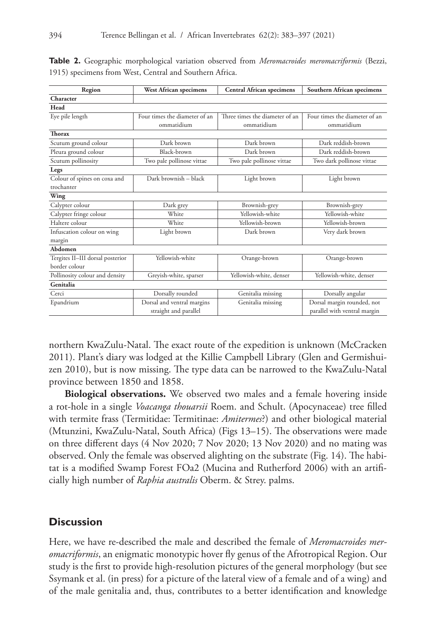| Region                           | West African specimens        | <b>Central African specimens</b> | Southern African specimens    |  |  |  |
|----------------------------------|-------------------------------|----------------------------------|-------------------------------|--|--|--|
| Character                        |                               |                                  |                               |  |  |  |
| Head                             |                               |                                  |                               |  |  |  |
| Eye pile length                  | Four times the diameter of an | Three times the diameter of an   | Four times the diameter of an |  |  |  |
|                                  | ommatidium                    | ommatidium                       | ommatidium                    |  |  |  |
| <b>Thorax</b>                    |                               |                                  |                               |  |  |  |
| Scutum ground colour             | Dark brown                    | Dark brown                       | Dark reddish-brown            |  |  |  |
| Pleura ground colour             | Black-brown                   | Dark brown                       | Dark reddish-brown            |  |  |  |
| Scutum pollinosity               | Two pale pollinose vittae     | Two pale pollinose vittae        | Two dark pollinose vittae     |  |  |  |
| Legs                             |                               |                                  |                               |  |  |  |
| Colour of spines on coxa and     | Dark brownish - black         | Light brown                      | Light brown                   |  |  |  |
| trochanter                       |                               |                                  |                               |  |  |  |
| Wing                             |                               |                                  |                               |  |  |  |
| Calypter colour                  | Dark grey                     | Brownish-grey                    | Brownish-grey                 |  |  |  |
| Calypter fringe colour           | White                         | Yellowish-white                  | Yellowish-white               |  |  |  |
| Haltere colour                   | White                         | Yellowish-brown                  | Yellowish-brown               |  |  |  |
| Infuscation colour on wing       | Light brown                   | Dark brown                       | Very dark brown               |  |  |  |
| margin                           |                               |                                  |                               |  |  |  |
| Abdomen                          |                               |                                  |                               |  |  |  |
| Tergites II-III dorsal posterior | Yellowish-white               | Orange-brown                     | Orange-brown                  |  |  |  |
| border colour                    |                               |                                  |                               |  |  |  |
| Pollinosity colour and density   | Greyish-white, sparser        | Yellowish-white, denser          | Yellowish-white, denser       |  |  |  |
| Genitalia                        |                               |                                  |                               |  |  |  |
| Cerci                            | Dorsally rounded              | Genitalia missing                | Dorsally angular              |  |  |  |
| Epandrium                        | Dorsal and ventral margins    | Genitalia missing                | Dorsal margin rounded, not    |  |  |  |
|                                  | straight and parallel         |                                  | parallel with ventral margin  |  |  |  |

**Table 2.** Geographic morphological variation observed from *Meromacroides meromacriformis* (Bezzi, 1915) specimens from West, Central and Southern Africa.

northern KwaZulu-Natal. The exact route of the expedition is unknown (McCracken 2011). Plant's diary was lodged at the Killie Campbell Library (Glen and Germishuizen 2010), but is now missing. The type data can be narrowed to the KwaZulu-Natal province between 1850 and 1858.

**Biological observations.** We observed two males and a female hovering inside a rot-hole in a single *Voacanga thouarsii* Roem. and Schult. (Apocynaceae) tree filled with termite frass (Termitidae: Termitinae: *Amitermes*?) and other biological material (Mtunzini, KwaZulu-Natal, South Africa) (Figs 13–15). The observations were made on three different days (4 Nov 2020; 7 Nov 2020; 13 Nov 2020) and no mating was observed. Only the female was observed alighting on the substrate (Fig. 14). The habitat is a modified Swamp Forest FOa2 (Mucina and Rutherford 2006) with an artificially high number of *Raphia australis* Oberm. & Strey. palms.

# **Discussion**

Here, we have re-described the male and described the female of *Meromacroides meromacriformis*, an enigmatic monotypic hover fly genus of the Afrotropical Region. Our study is the first to provide high-resolution pictures of the general morphology (but see Ssymank et al. (in press) for a picture of the lateral view of a female and of a wing) and of the male genitalia and, thus, contributes to a better identification and knowledge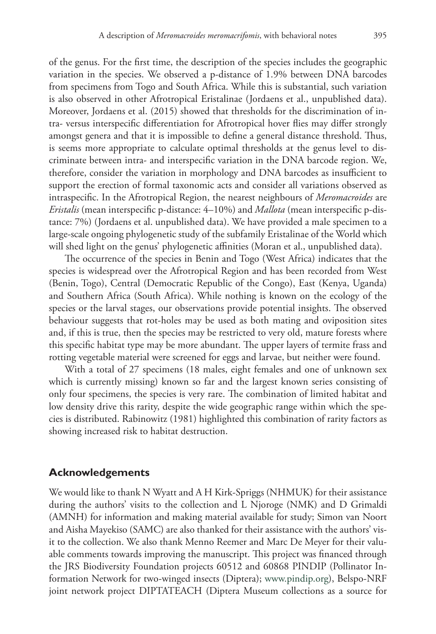of the genus. For the first time, the description of the species includes the geographic variation in the species. We observed a p-distance of 1.9% between DNA barcodes from specimens from Togo and South Africa. While this is substantial, such variation is also observed in other Afrotropical Eristalinae (Jordaens et al., unpublished data). Moreover, Jordaens et al. (2015) showed that thresholds for the discrimination of intra- versus interspecific differentiation for Afrotropical hover flies may differ strongly amongst genera and that it is impossible to define a general distance threshold. Thus, is seems more appropriate to calculate optimal thresholds at the genus level to discriminate between intra- and interspecific variation in the DNA barcode region. We, therefore, consider the variation in morphology and DNA barcodes as insufficient to support the erection of formal taxonomic acts and consider all variations observed as intraspecific. In the Afrotropical Region, the nearest neighbours of *Meromacroides* are *Eristalis* (mean interspecific p-distance: 4–10%) and *Mallota* (mean interspecific p-distance: 7%) (Jordaens et al. unpublished data). We have provided a male specimen to a large-scale ongoing phylogenetic study of the subfamily Eristalinae of the World which will shed light on the genus' phylogenetic affinities (Moran et al., unpublished data).

The occurrence of the species in Benin and Togo (West Africa) indicates that the species is widespread over the Afrotropical Region and has been recorded from West (Benin, Togo), Central (Democratic Republic of the Congo), East (Kenya, Uganda) and Southern Africa (South Africa). While nothing is known on the ecology of the species or the larval stages, our observations provide potential insights. The observed behaviour suggests that rot-holes may be used as both mating and oviposition sites and, if this is true, then the species may be restricted to very old, mature forests where this specific habitat type may be more abundant. The upper layers of termite frass and rotting vegetable material were screened for eggs and larvae, but neither were found.

With a total of 27 specimens (18 males, eight females and one of unknown sex which is currently missing) known so far and the largest known series consisting of only four specimens, the species is very rare. The combination of limited habitat and low density drive this rarity, despite the wide geographic range within which the species is distributed. Rabinowitz (1981) highlighted this combination of rarity factors as showing increased risk to habitat destruction.

# **Acknowledgements**

We would like to thank N Wyatt and A H Kirk-Spriggs (NHMUK) for their assistance during the authors' visits to the collection and L Njoroge (NMK) and D Grimaldi (AMNH) for information and making material available for study; Simon van Noort and Aisha Mayekiso (SAMC) are also thanked for their assistance with the authors' visit to the collection. We also thank Menno Reemer and Marc De Meyer for their valuable comments towards improving the manuscript. This project was financed through the JRS Biodiversity Foundation projects 60512 and 60868 PINDIP (Pollinator Information Network for two-winged insects (Diptera); www.pindip.org), Belspo-NRF joint network project DIPTATEACH (Diptera Museum collections as a source for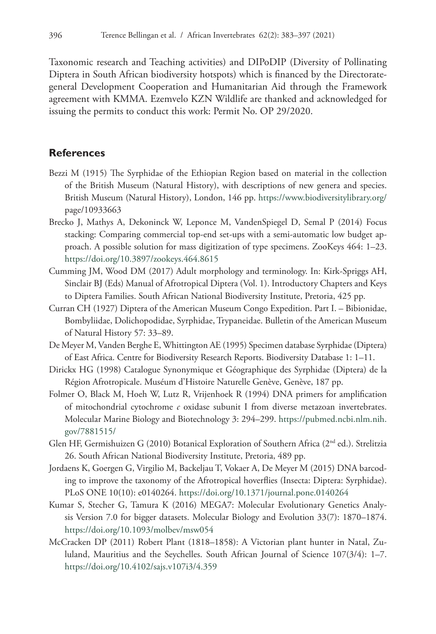Taxonomic research and Teaching activities) and DIPoDIP (Diversity of Pollinating Diptera in South African biodiversity hotspots) which is financed by the Directorategeneral Development Cooperation and Humanitarian Aid through the Framework agreement with KMMA. Ezemvelo KZN Wildlife are thanked and acknowledged for issuing the permits to conduct this work: Permit No. OP 29/2020.

### **References**

- Bezzi M (1915) The Syrphidae of the Ethiopian Region based on material in the collection of the British Museum (Natural History), with descriptions of new genera and species. British Museum (Natural History), London, 146 pp.<https://www.biodiversitylibrary.org/> page/10933663
- Brecko J, Mathys A, Dekoninck W, Leponce M, VandenSpiegel D, Semal P (2014) Focus stacking: Comparing commercial top-end set-ups with a semi-automatic low budget approach. A possible solution for mass digitization of type specimens. ZooKeys 464: 1–23. <https://doi.org/10.3897/zookeys.464.8615>
- Cumming JM, Wood DM (2017) Adult morphology and terminology. In: Kirk-Spriggs AH, Sinclair BJ (Eds) Manual of Afrotropical Diptera (Vol. 1). Introductory Chapters and Keys to Diptera Families. South African National Biodiversity Institute, Pretoria, 425 pp.
- Curran CH (1927) Diptera of the American Museum Congo Expedition. Part I. Bibionidae, Bombyliidae, Dolichopodidae, Syrphidae, Trypaneidae. Bulletin of the American Museum of Natural History 57: 33–89.
- De Meyer M, Vanden Berghe E, Whittington AE (1995) Specimen database Syrphidae (Diptera) of East Africa. Centre for Biodiversity Research Reports. Biodiversity Database 1: 1–11.
- Dirickx HG (1998) Catalogue Synonymique et Géographique des Syrphidae (Diptera) de la Région Afrotropicale. Muséum d'Histoire Naturelle Genève, Genève, 187 pp.
- Folmer O, Black M, Hoeh W, Lutz R, Vrijenhoek R (1994) DNA primers for amplification of mitochondrial cytochrome *c* oxidase subunit I from diverse metazoan invertebrates. Molecular Marine Biology and Biotechnology 3: 294–299. [https://pubmed.ncbi.nlm.nih.](https://pubmed.ncbi.nlm.nih.gov/7881515/) [gov/7881515/](https://pubmed.ncbi.nlm.nih.gov/7881515/)
- Glen HF, Germishuizen G (2010) Botanical Exploration of Southern Africa (2nd ed.). Strelitzia 26. South African National Biodiversity Institute, Pretoria, 489 pp.
- Jordaens K, Goergen G, Virgilio M, Backeljau T, Vokaer A, De Meyer M (2015) DNA barcoding to improve the taxonomy of the Afrotropical hoverflies (Insecta: Diptera: Syrphidae). PLoS ONE 10(10): e0140264.<https://doi.org/10.1371/journal.pone.0140264>
- Kumar S, Stecher G, Tamura K (2016) MEGA7: Molecular Evolutionary Genetics Analysis Version 7.0 for bigger datasets. Molecular Biology and Evolution 33(7): 1870–1874. <https://doi.org/10.1093/molbev/msw054>
- McCracken DP (2011) Robert Plant (1818–1858): A Victorian plant hunter in Natal, Zululand, Mauritius and the Seychelles. South African Journal of Science 107(3/4): 1–7. <https://doi.org/10.4102/sajs.v107i3/4.359>